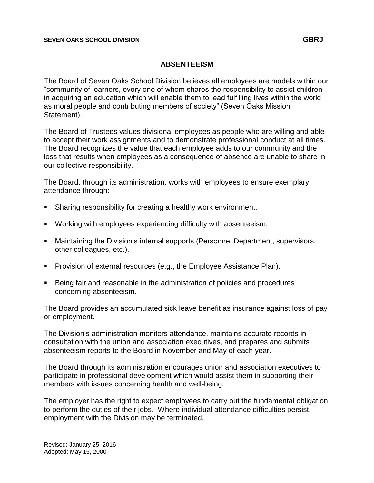## **ABSENTEEISM**

The Board of Seven Oaks School Division believes all employees are models within our "community of learners, every one of whom shares the responsibility to assist children in acquiring an education which will enable them to lead fulfilling lives within the world as moral people and contributing members of society" (Seven Oaks Mission Statement).

The Board of Trustees values divisional employees as people who are willing and able to accept their work assignments and to demonstrate professional conduct at all times. The Board recognizes the value that each employee adds to our community and the loss that results when employees as a consequence of absence are unable to share in our collective responsibility.

The Board, through its administration, works with employees to ensure exemplary attendance through:

- **Sharing responsibility for creating a healthy work environment.**
- Working with employees experiencing difficulty with absenteeism.
- Maintaining the Division's internal supports (Personnel Department, supervisors, other colleagues, etc.).
- **Provision of external resources (e.g., the Employee Assistance Plan).**
- Being fair and reasonable in the administration of policies and procedures concerning absenteeism.

The Board provides an accumulated sick leave benefit as insurance against loss of pay or employment.

The Division's administration monitors attendance, maintains accurate records in consultation with the union and association executives, and prepares and submits absenteeism reports to the Board in November and May of each year.

The Board through its administration encourages union and association executives to participate in professional development which would assist them in supporting their members with issues concerning health and well-being.

The employer has the right to expect employees to carry out the fundamental obligation to perform the duties of their jobs. Where individual attendance difficulties persist, employment with the Division may be terminated.